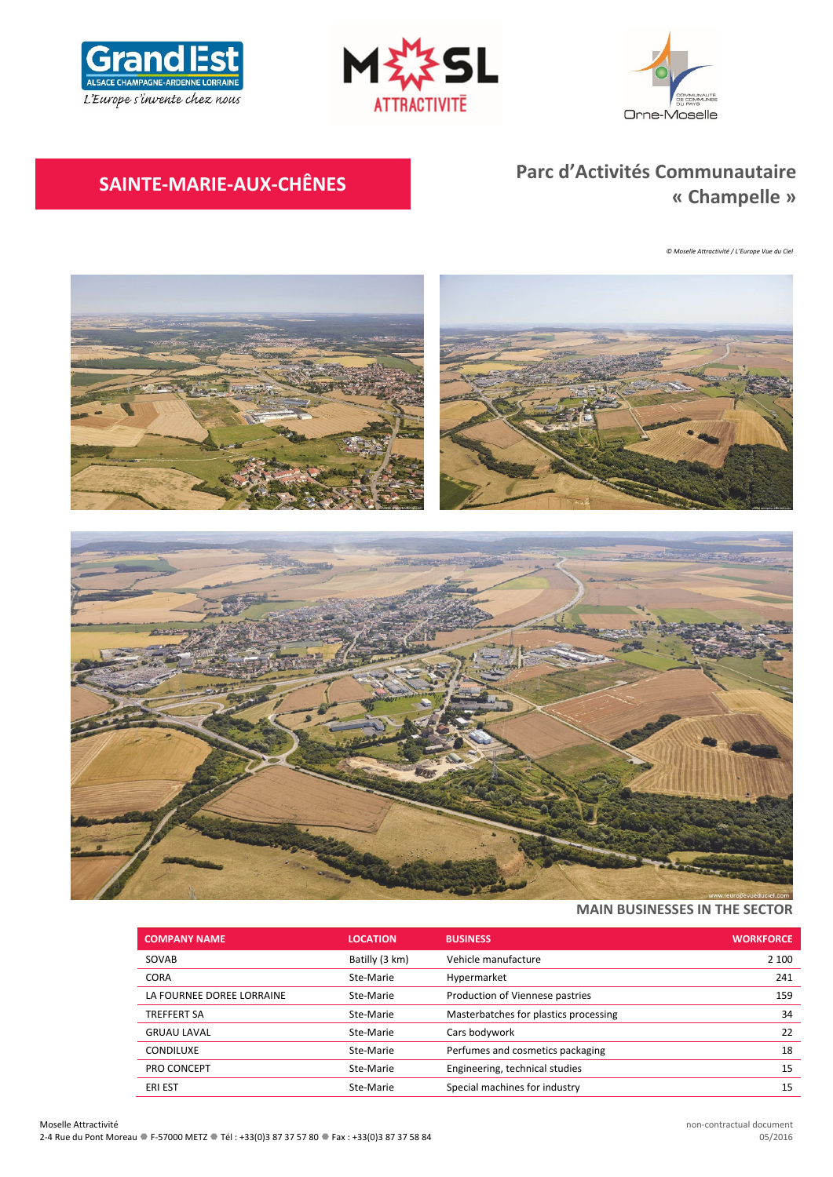





# **SAINTE‐MARIE‐AUX‐CHÊNES Parc d'Activités Communautaire « Champelle »**

*© Moselle Attractivité / L'Europe Vue du Ciel*



# **MAIN BUSINESSES IN THE SECTOR**

| <b>COMPANY NAME</b>       | <b>LOCATION</b> | <b>BUSINESS</b>                       | <b>WORKFORCE</b> |
|---------------------------|-----------------|---------------------------------------|------------------|
| SOVAB                     | Batilly (3 km)  | Vehicle manufacture                   | 2 100            |
| <b>CORA</b>               | Ste-Marie       | Hypermarket                           | 241              |
| LA FOURNEE DOREE LORRAINE | Ste-Marie       | Production of Viennese pastries       | 159              |
| <b>TREFFERT SA</b>        | Ste-Marie       | Masterbatches for plastics processing | 34               |
| <b>GRUAU LAVAL</b>        | Ste-Marie       | Cars bodywork                         | 22               |
| CONDILUXE                 | Ste-Marie       | Perfumes and cosmetics packaging      | 18               |
| PRO CONCEPT               | Ste-Marie       | Engineering, technical studies        | 15               |
| <b>ERI EST</b>            | Ste-Marie       | Special machines for industry         | 15               |